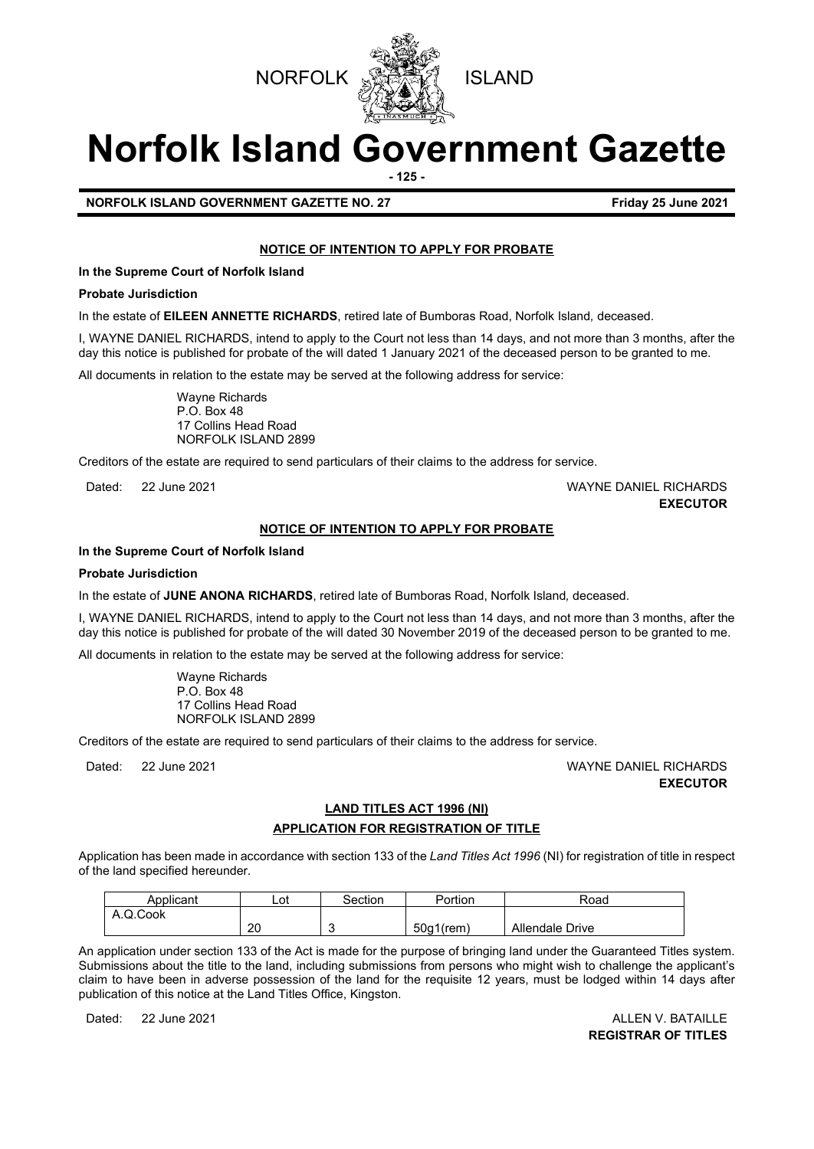



# **Norfolk Island Government Gazette**

**- 125 -**

# **NORFOLK ISLAND GOVERNMENT GAZETTE NO. 27 Friday 25 June 2021**

# **NOTICE OF INTENTION TO APPLY FOR PROBATE**

**In the Supreme Court of Norfolk Island**

#### **Probate Jurisdiction**

In the estate of **EILEEN ANNETTE RICHARDS**, retired late of Bumboras Road, Norfolk Island*,* deceased.

I, WAYNE DANIEL RICHARDS, intend to apply to the Court not less than 14 days, and not more than 3 months, after the day this notice is published for probate of the will dated 1 January 2021 of the deceased person to be granted to me.

All documents in relation to the estate may be served at the following address for service:

Wayne Richards P.O. Box 48 17 Collins Head Road NORFOLK ISLAND 2899

Creditors of the estate are required to send particulars of their claims to the address for service.

# Dated: 22 June 2021 WAYNE DANIEL RICHARDS **EXECUTOR**

## **NOTICE OF INTENTION TO APPLY FOR PROBATE**

#### **In the Supreme Court of Norfolk Island**

#### **Probate Jurisdiction**

In the estate of **JUNE ANONA RICHARDS**, retired late of Bumboras Road, Norfolk Island*,* deceased.

I, WAYNE DANIEL RICHARDS, intend to apply to the Court not less than 14 days, and not more than 3 months, after the day this notice is published for probate of the will dated 30 November 2019 of the deceased person to be granted to me.

All documents in relation to the estate may be served at the following address for service:

Wayne Richards P.O. Box 48 17 Collins Head Road NORFOLK ISLAND 2899

Creditors of the estate are required to send particulars of their claims to the address for service.

Dated: 22 June 2021 WAYNE DANIEL RICHARDS **EXECUTOR**

# **LAND TITLES ACT 1996 (NI) APPLICATION FOR REGISTRATION OF TITLE**

Application has been made in accordance with section 133 of the *Land Titles Act 1996* (NI) for registration of title in respect of the land specified hereunder.

| Applicant | Lot | Section | Portion      | Road            |
|-----------|-----|---------|--------------|-----------------|
| A.Q.Cook  |     |         |              |                 |
|           | 20  |         | $50q1$ (rem) | Allendale Drive |

An application under section 133 of the Act is made for the purpose of bringing land under the Guaranteed Titles system. Submissions about the title to the land, including submissions from persons who might wish to challenge the applicant's claim to have been in adverse possession of the land for the requisite 12 years, must be lodged within 14 days after publication of this notice at the Land Titles Office, Kingston.

Dated: 22 June 2021 2008 | 2009 | 2010 | 2021 | 2021 | 2021 | 2021 | 2021 | 2021 | 2021 | 2021 | 2021 | 2021 | **REGISTRAR OF TITLES**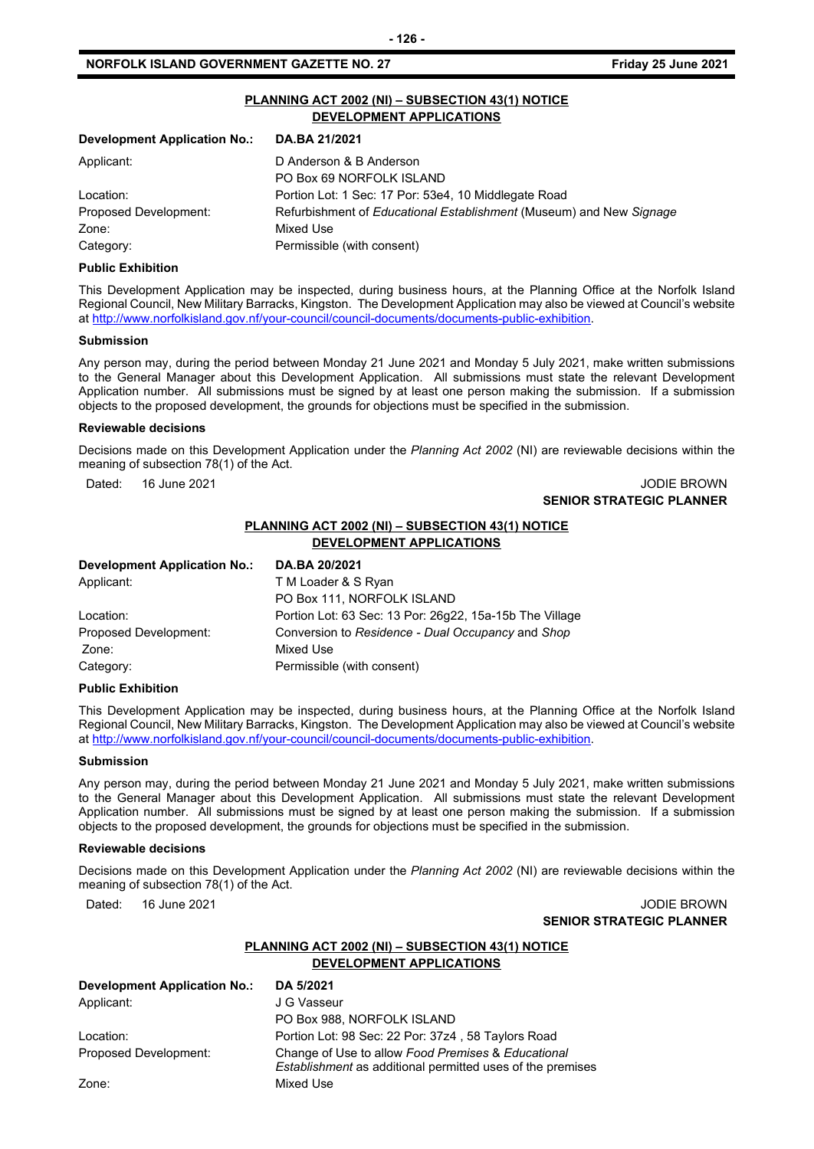# **PLANNING ACT 2002 (NI) – SUBSECTION 43(1) NOTICE DEVELOPMENT APPLICATIONS**

| DA.BA 21/2021                                                       |  |  |
|---------------------------------------------------------------------|--|--|
| D Anderson & B Anderson                                             |  |  |
| PO Box 69 NORFOLK ISLAND                                            |  |  |
| Portion Lot: 1 Sec: 17 Por: 53e4, 10 Middlegate Road                |  |  |
| Refurbishment of Educational Establishment (Museum) and New Signage |  |  |
| Mixed Use                                                           |  |  |
| Permissible (with consent)                                          |  |  |
|                                                                     |  |  |

#### **Public Exhibition**

This Development Application may be inspected, during business hours, at the Planning Office at the Norfolk Island Regional Council, New Military Barracks, Kingston. The Development Application may also be viewed at Council's website a[t http://www.norfolkisland.gov.nf/your-council/council-documents/documents-public-exhibition.](http://www.norfolkisland.gov.nf/your-council/council-documents/documents-public-exhibition)

#### **Submission**

Any person may, during the period between Monday 21 June 2021 and Monday 5 July 2021, make written submissions to the General Manager about this Development Application. All submissions must state the relevant Development Application number. All submissions must be signed by at least one person making the submission. If a submission objects to the proposed development, the grounds for objections must be specified in the submission.

#### **Reviewable decisions**

Decisions made on this Development Application under the *Planning Act 2002* (NI) are reviewable decisions within the meaning of subsection 78(1) of the Act.

Dated: 16 June 2021 JODIE BROWN

# **SENIOR STRATEGIC PLANNER**

### **PLANNING ACT 2002 (NI) – SUBSECTION 43(1) NOTICE DEVELOPMENT APPLICATIONS**

| Portion Lot: 63 Sec: 13 Por: 26g22, 15a-15b The Village |
|---------------------------------------------------------|
| Conversion to Residence - Dual Occupancy and Shop       |
|                                                         |
|                                                         |
|                                                         |

#### **Public Exhibition**

This Development Application may be inspected, during business hours, at the Planning Office at the Norfolk Island Regional Council, New Military Barracks, Kingston. The Development Application may also be viewed at Council's website a[t http://www.norfolkisland.gov.nf/your-council/council-documents/documents-public-exhibition.](http://www.norfolkisland.gov.nf/your-council/council-documents/documents-public-exhibition)

#### **Submission**

Any person may, during the period between Monday 21 June 2021 and Monday 5 July 2021, make written submissions to the General Manager about this Development Application. All submissions must state the relevant Development Application number. All submissions must be signed by at least one person making the submission. If a submission objects to the proposed development, the grounds for objections must be specified in the submission.

#### **Reviewable decisions**

Decisions made on this Development Application under the *Planning Act 2002* (NI) are reviewable decisions within the meaning of subsection 78(1) of the Act.

Dated: 16 June 2021 **Dates: 16 June 2021** 

# **SENIOR STRATEGIC PLANNER**

### **PLANNING ACT 2002 (NI) – SUBSECTION 43(1) NOTICE DEVELOPMENT APPLICATIONS**

| <b>Development Application No.:</b> | DA 5/2021                                                                                                               |
|-------------------------------------|-------------------------------------------------------------------------------------------------------------------------|
| Applicant:                          | J G Vasseur                                                                                                             |
|                                     | PO Box 988, NORFOLK ISLAND                                                                                              |
| Location:                           | Portion Lot: 98 Sec: 22 Por: 37z4, 58 Taylors Road                                                                      |
| Proposed Development:               | Change of Use to allow Food Premises & Educational<br><i>Establishment</i> as additional permitted uses of the premises |
| Zone:                               | Mixed Use                                                                                                               |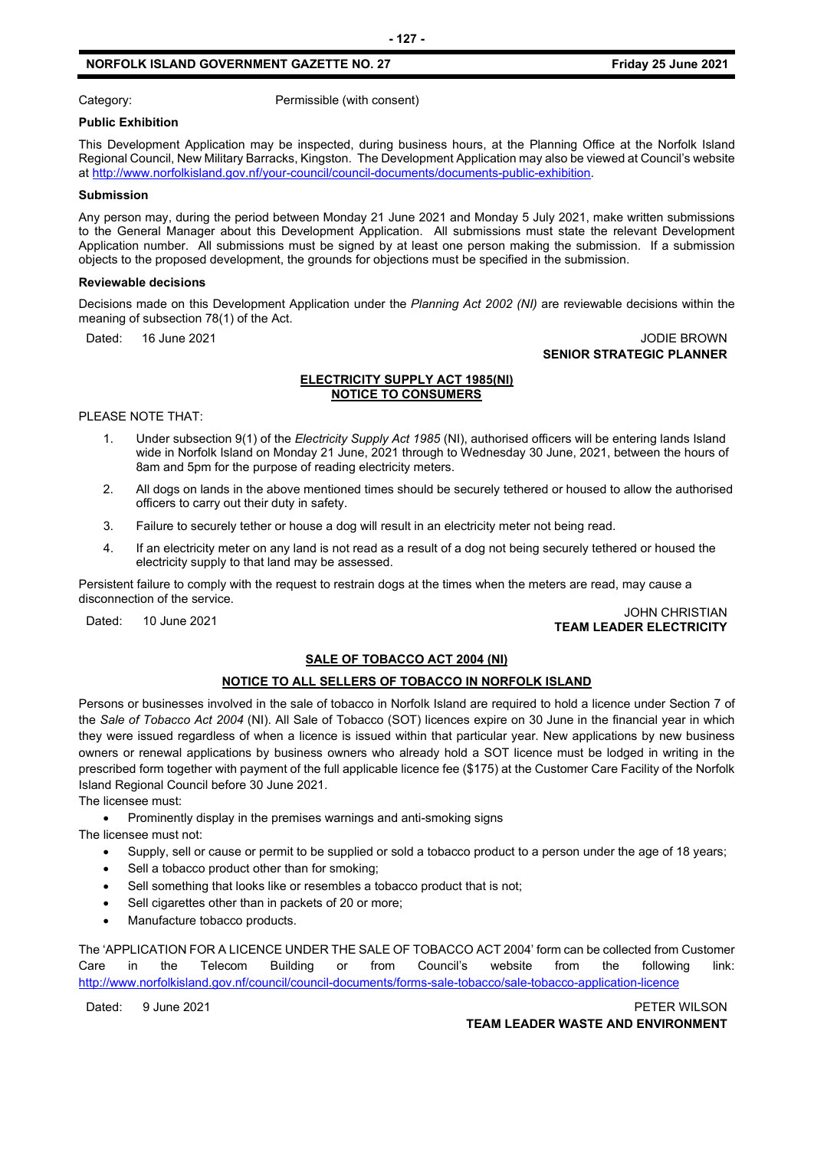# **NORFOLK ISLAND GOVERNMENT GAZETTE NO. 27 Friday 25 June 2021**

Category: Category: Permissible (with consent)

#### **Public Exhibition**

This Development Application may be inspected, during business hours, at the Planning Office at the Norfolk Island Regional Council, New Military Barracks, Kingston. The Development Application may also be viewed at Council's website a[t http://www.norfolkisland.gov.nf/your-council/council-documents/documents-public-exhibition.](http://www.norfolkisland.gov.nf/your-council/council-documents/documents-public-exhibition)

#### **Submission**

Any person may, during the period between Monday 21 June 2021 and Monday 5 July 2021, make written submissions to the General Manager about this Development Application. All submissions must state the relevant Development Application number. All submissions must be signed by at least one person making the submission. If a submission objects to the proposed development, the grounds for objections must be specified in the submission.

#### **Reviewable decisions**

Decisions made on this Development Application under the *Planning Act 2002 (NI)* are reviewable decisions within the meaning of subsection 78(1) of the Act.

#### Dated: 16 June 2021 **Dates: 16 June 2021 SENIOR STRATEGIC PLANNER**

#### **ELECTRICITY SUPPLY ACT 1985(NI) NOTICE TO CONSUMERS**

PLEASE NOTE THAT:

- 1. Under subsection 9(1) of the *Electricity Supply Act 1985* (NI), authorised officers will be entering lands Island wide in Norfolk Island on Monday 21 June, 2021 through to Wednesday 30 June, 2021, between the hours of 8am and 5pm for the purpose of reading electricity meters.
- 2. All dogs on lands in the above mentioned times should be securely tethered or housed to allow the authorised officers to carry out their duty in safety.
- 3. Failure to securely tether or house a dog will result in an electricity meter not being read.
- 4. If an electricity meter on any land is not read as a result of a dog not being securely tethered or housed the electricity supply to that land may be assessed.

Persistent failure to comply with the request to restrain dogs at the times when the meters are read, may cause a disconnection of the service.

Dated: 10 June 2021 JOHN CHRISTIAN **TEAM LEADER ELECTRICITY**

# **SALE OF TOBACCO ACT 2004 (NI)**

# **NOTICE TO ALL SELLERS OF TOBACCO IN NORFOLK ISLAND**

Persons or businesses involved in the sale of tobacco in Norfolk Island are required to hold a licence under Section 7 of the *Sale of Tobacco Act 2004* (NI). All Sale of Tobacco (SOT) licences expire on 30 June in the financial year in which they were issued regardless of when a licence is issued within that particular year. New applications by new business owners or renewal applications by business owners who already hold a SOT licence must be lodged in writing in the prescribed form together with payment of the full applicable licence fee (\$175) at the Customer Care Facility of the Norfolk Island Regional Council before 30 June 2021.

The licensee must:

• Prominently display in the premises warnings and anti-smoking signs

The licensee must not:

- Supply, sell or cause or permit to be supplied or sold a tobacco product to a person under the age of 18 years;
- Sell a tobacco product other than for smoking;
- Sell something that looks like or resembles a tobacco product that is not;
- Sell cigarettes other than in packets of 20 or more;
- Manufacture tobacco products.

The 'APPLICATION FOR A LICENCE UNDER THE SALE OF TOBACCO ACT 2004' form can be collected from Customer Care in the Telecom Building or from Council's website from the following link: <http://www.norfolkisland.gov.nf/council/council-documents/forms-sale-tobacco/sale-tobacco-application-licence>

Dated: 9 June 2021 PETER WILSON **TEAM LEADER WASTE AND ENVIRONMENT**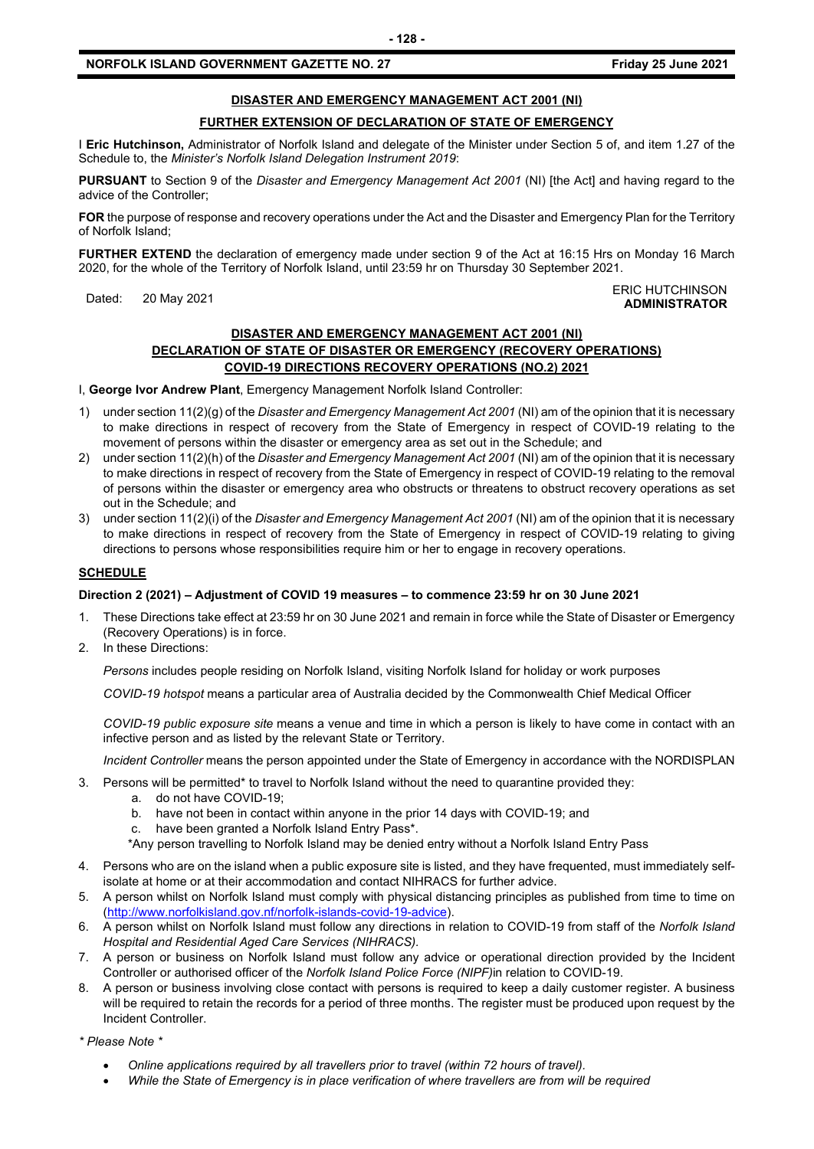# **NORFOLK ISLAND GOVERNMENT GAZETTE NO. 27 FIGULARY 25 JUNE 2021 Friday 25 June 2021**

# **DISASTER AND EMERGENCY MANAGEMENT ACT 2001 (NI)**

# **FURTHER EXTENSION OF DECLARATION OF STATE OF EMERGENCY**

I **Eric Hutchinson,** Administrator of Norfolk Island and delegate of the Minister under Section 5 of, and item 1.27 of the Schedule to, the *Minister's Norfolk Island Delegation Instrument 2019*:

**PURSUANT** to Section 9 of the *Disaster and Emergency Management Act 2001* (NI) [the Act] and having regard to the advice of the Controller;

**FOR** the purpose of response and recovery operations under the Act and the Disaster and Emergency Plan for the Territory of Norfolk Island;

**FURTHER EXTEND** the declaration of emergency made under section 9 of the Act at 16:15 Hrs on Monday 16 March 2020, for the whole of the Territory of Norfolk Island, until 23:59 hr on Thursday 30 September 2021.

#### Dated: 20 May 2021 ERIC HUTCHINSON **ADMINISTRATOR**

### **DISASTER AND EMERGENCY MANAGEMENT ACT 2001 (NI)**

# **DECLARATION OF STATE OF DISASTER OR EMERGENCY (RECOVERY OPERATIONS) COVID-19 DIRECTIONS RECOVERY OPERATIONS (NO.2) 2021**

I, **George Ivor Andrew Plant**, Emergency Management Norfolk Island Controller:

- 1) under section 11(2)(g) of the *Disaster and Emergency Management Act 2001* (NI) am of the opinion that it is necessary to make directions in respect of recovery from the State of Emergency in respect of COVID-19 relating to the movement of persons within the disaster or emergency area as set out in the Schedule; and
- 2) under section 11(2)(h) of the *Disaster and Emergency Management Act 2001* (NI) am of the opinion that it is necessary to make directions in respect of recovery from the State of Emergency in respect of COVID-19 relating to the removal of persons within the disaster or emergency area who obstructs or threatens to obstruct recovery operations as set out in the Schedule; and
- 3) under section 11(2)(i) of the *Disaster and Emergency Management Act 2001* (NI) am of the opinion that it is necessary to make directions in respect of recovery from the State of Emergency in respect of COVID-19 relating to giving directions to persons whose responsibilities require him or her to engage in recovery operations.

## **SCHEDULE**

#### **Direction 2 (2021) – Adjustment of COVID 19 measures – to commence 23:59 hr on 30 June 2021**

- 1. These Directions take effect at 23:59 hr on 30 June 2021 and remain in force while the State of Disaster or Emergency (Recovery Operations) is in force.
- 2. In these Directions:

*Persons* includes people residing on Norfolk Island, visiting Norfolk Island for holiday or work purposes

*COVID-19 hotspot* means a particular area of Australia decided by the Commonwealth Chief Medical Officer

*COVID-19 public exposure site* means a venue and time in which a person is likely to have come in contact with an infective person and as listed by the relevant State or Territory.

*Incident Controller* means the person appointed under the State of Emergency in accordance with the NORDISPLAN

3. Persons will be permitted\* to travel to Norfolk Island without the need to quarantine provided they:

- a. do not have COVID-19;
- b. have not been in contact within anyone in the prior 14 days with COVID-19; and
- c. have been granted a Norfolk Island Entry Pass\*.

\*Any person travelling to Norfolk Island may be denied entry without a Norfolk Island Entry Pass

- 4. Persons who are on the island when a public exposure site is listed, and they have frequented, must immediately selfisolate at home or at their accommodation and contact NIHRACS for further advice.
- 5. A person whilst on Norfolk Island must comply with physical distancing principles as published from time to time on [\(http://www.norfolkisland.gov.nf/norfolk-islands-covid-19-advice\)](http://www.norfolkisland.gov.nf/norfolk-islands-covid-19-advice).
- 6. A person whilst on Norfolk Island must follow any directions in relation to COVID-19 from staff of the *Norfolk Island Hospital and Residential Aged Care Services (NIHRACS).*
- 7. A person or business on Norfolk Island must follow any advice or operational direction provided by the Incident Controller or authorised officer of the *Norfolk Island Police Force (NIPF)*in relation to COVID-19.
- 8. A person or business involving close contact with persons is required to keep a daily customer register. A business will be required to retain the records for a period of three months. The register must be produced upon request by the Incident Controller.

*\* Please Note \** 

- *Online applications required by all travellers prior to travel (within 72 hours of travel).*
- *While the State of Emergency is in place verification of where travellers are from will be required*